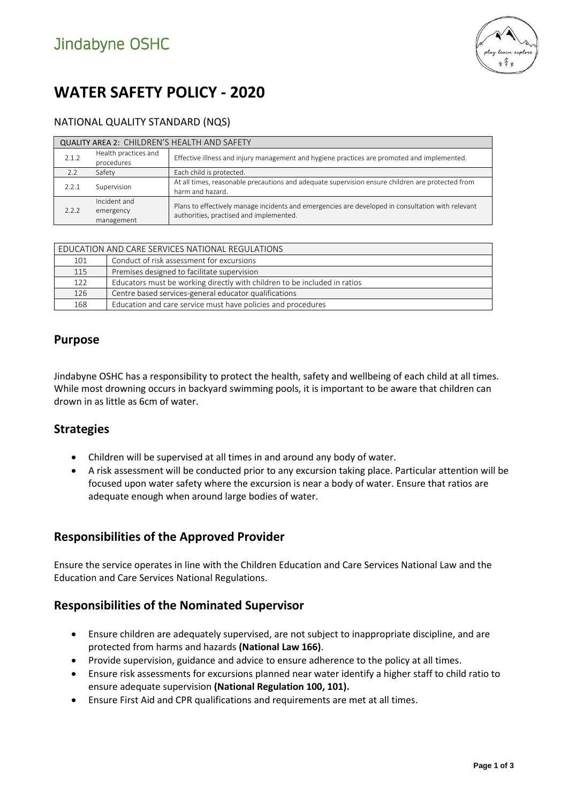

# **WATER SAFETY POLICY - 2020**

### NATIONAL QUALITY STANDARD (NQS)

| <b>QUALITY AREA 2: CHILDREN'S HEALTH AND SAFETY</b> |                                         |                                                                                                                                              |  |  |
|-----------------------------------------------------|-----------------------------------------|----------------------------------------------------------------------------------------------------------------------------------------------|--|--|
| 2.1.2                                               | Health practices and<br>procedures      | Effective illness and injury management and hygiene practices are promoted and implemented.                                                  |  |  |
| 2.2                                                 | Safety                                  | Each child is protected.                                                                                                                     |  |  |
| 2.2.1                                               | Supervision                             | At all times, reasonable precautions and adequate supervision ensure children are protected from<br>harm and hazard.                         |  |  |
| 2.2.2                                               | Incident and<br>emergency<br>management | Plans to effectively manage incidents and emergencies are developed in consultation with relevant<br>authorities, practised and implemented. |  |  |

| EDUCATION AND CARE SERVICES NATIONAL REGULATIONS |                                                                           |  |
|--------------------------------------------------|---------------------------------------------------------------------------|--|
| 101                                              | Conduct of risk assessment for excursions                                 |  |
| 115                                              | Premises designed to facilitate supervision                               |  |
| 122                                              | Educators must be working directly with children to be included in ratios |  |
| 126                                              | Centre based services-general educator qualifications                     |  |
| 168                                              | Education and care service must have policies and procedures              |  |

### **Purpose**

Jindabyne OSHC has a responsibility to protect the health, safety and wellbeing of each child at all times. While most drowning occurs in backyard swimming pools, it is important to be aware that children can drown in as little as 6cm of water.

## **Strategies**

- Children will be supervised at all times in and around any body of water.
- A risk assessment will be conducted prior to any excursion taking place. Particular attention will be focused upon water safety where the excursion is near a body of water. Ensure that ratios are adequate enough when around large bodies of water.

## **Responsibilities of the Approved Provider**

Ensure the service operates in line with the Children Education and Care Services National Law and the Education and Care Services National Regulations.

## **Responsibilities of the Nominated Supervisor**

- Ensure children are adequately supervised, are not subject to inappropriate discipline, and are protected from harms and hazards **(National Law 166)**.
- Provide supervision, guidance and advice to ensure adherence to the policy at all times.
- Ensure risk assessments for excursions planned near water identify a higher staff to child ratio to ensure adequate supervision **(National Regulation 100, 101).**
- Ensure First Aid and CPR qualifications and requirements are met at all times.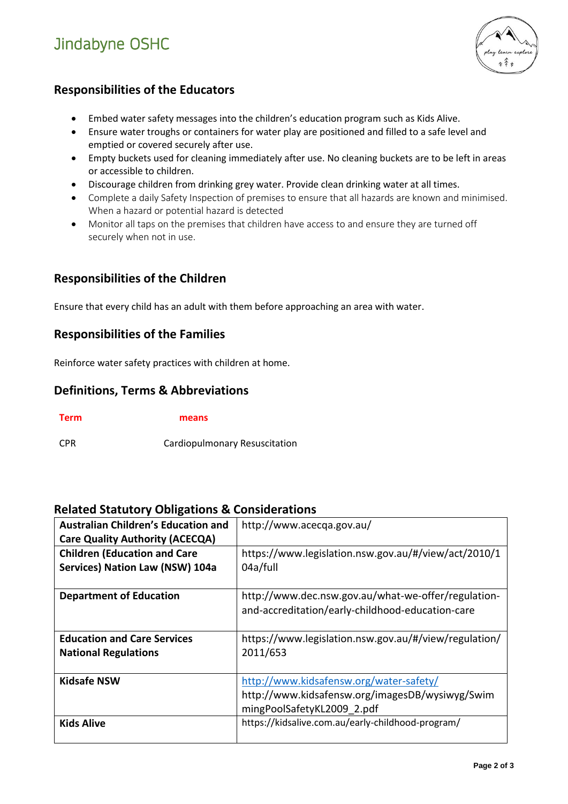# Jindabyne OSHC



# **Responsibilities of the Educators**

- Embed water safety messages into the children's education program such as Kids Alive.
- Ensure water troughs or containers for water play are positioned and filled to a safe level and emptied or covered securely after use.
- Empty buckets used for cleaning immediately after use. No cleaning buckets are to be left in areas or accessible to children.
- Discourage children from drinking grey water. Provide clean drinking water at all times.
- Complete a daily Safety Inspection of premises to ensure that all hazards are known and minimised. When a hazard or potential hazard is detected
- Monitor all taps on the premises that children have access to and ensure they are turned off securely when not in use.

# **Responsibilities of the Children**

Ensure that every child has an adult with them before approaching an area with water.

## **Responsibilities of the Families**

Reinforce water safety practices with children at home.

### **Definitions, Terms & Abbreviations**

**Term means**

CPR Cardiopulmonary Resuscitation

#### **Related Statutory Obligations & Considerations**

| <b>Australian Children's Education and</b> | http://www.acecqa.gov.au/                             |  |
|--------------------------------------------|-------------------------------------------------------|--|
| <b>Care Quality Authority (ACECQA)</b>     |                                                       |  |
| <b>Children (Education and Care</b>        | https://www.legislation.nsw.gov.au/#/view/act/2010/1  |  |
| Services) Nation Law (NSW) 104a            | 04a/full                                              |  |
|                                            |                                                       |  |
| <b>Department of Education</b>             | http://www.dec.nsw.gov.au/what-we-offer/regulation-   |  |
|                                            | and-accreditation/early-childhood-education-care      |  |
|                                            |                                                       |  |
| <b>Education and Care Services</b>         | https://www.legislation.nsw.gov.au/#/view/regulation/ |  |
| <b>National Regulations</b>                | 2011/653                                              |  |
|                                            |                                                       |  |
| <b>Kidsafe NSW</b>                         | http://www.kidsafensw.org/water-safety/               |  |
|                                            | http://www.kidsafensw.org/imagesDB/wysiwyg/Swim       |  |
|                                            | mingPoolSafetyKL2009 2.pdf                            |  |
| <b>Kids Alive</b>                          | https://kidsalive.com.au/early-childhood-program/     |  |
|                                            |                                                       |  |